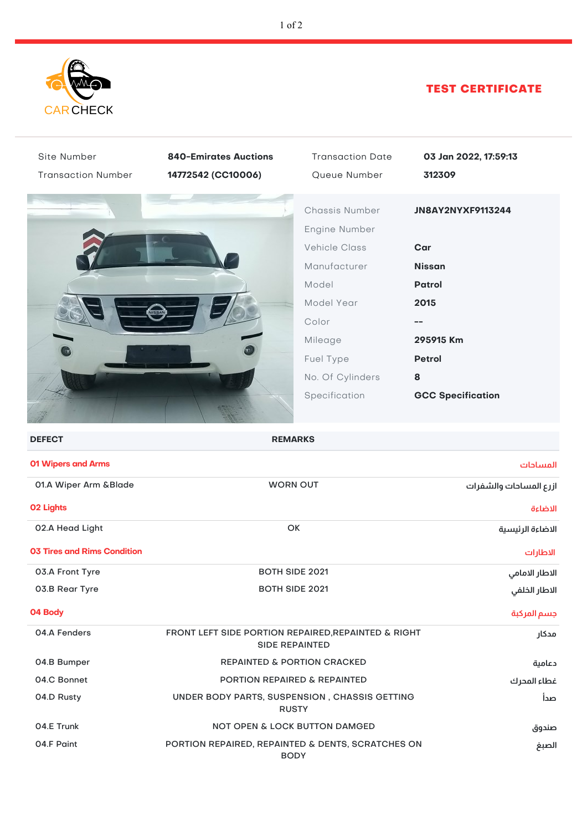

## TEST CERTIFICATE

| Site Number                 | <b>840-Emirates Auctions</b>                                                          | <b>Transaction Date</b>                                 | 03 Jan 2022, 17:59:13    |
|-----------------------------|---------------------------------------------------------------------------------------|---------------------------------------------------------|--------------------------|
| <b>Transaction Number</b>   | 14772542 (CC10006)                                                                    | Queue Number                                            | 312309                   |
|                             |                                                                                       | Chassis Number<br>Engine Number<br><b>Vehicle Class</b> | JN8AY2NYXF9113244<br>Car |
|                             |                                                                                       | Manufacturer                                            | <b>Nissan</b>            |
|                             |                                                                                       | Model                                                   | <b>Patrol</b>            |
|                             |                                                                                       | Model Year                                              | 2015                     |
|                             |                                                                                       | Color                                                   |                          |
|                             |                                                                                       | Mileage                                                 | 295915 Km                |
|                             |                                                                                       | Fuel Type                                               | <b>Petrol</b>            |
|                             |                                                                                       | No. Of Cylinders                                        | 8                        |
|                             |                                                                                       | Specification                                           | <b>GCC Specification</b> |
| <b>DEFECT</b>               |                                                                                       | <b>REMARKS</b>                                          |                          |
| 01 Wipers and Arms          |                                                                                       |                                                         | المساحات                 |
| 01.A Wiper Arm & Blade      | <b>WORN OUT</b>                                                                       |                                                         | ازرع المساحات والشفرات   |
| <b>02 Lights</b>            |                                                                                       |                                                         | الاضاءة                  |
| 02.A Head Light             | OK                                                                                    |                                                         | الاضاءة الرئيسية         |
| 03 Tires and Rims Condition |                                                                                       |                                                         | الاطارات                 |
| 03.A Front Tyre             | <b>BOTH SIDE 2021</b>                                                                 |                                                         | الاطار الامامى           |
| 03.B Rear Tyre              | <b>BOTH SIDE 2021</b>                                                                 |                                                         | الاطار الخلفي            |
| 04 Body                     |                                                                                       |                                                         | جسم المركبة              |
| 04.A Fenders                | FRONT LEFT SIDE PORTION REPAIRED, REPAINTED & RIGHT<br>مدكار<br><b>SIDE REPAINTED</b> |                                                         |                          |
| 04.B Bumper                 | <b>REPAINTED &amp; PORTION CRACKED</b>                                                |                                                         | دعامية                   |
| 04.C Bonnet                 | PORTION REPAIRED & REPAINTED                                                          |                                                         | غطاء المحرك              |
| 04.D Rusty                  | UNDER BODY PARTS, SUSPENSION, CHASSIS GETTING<br><b>RUSTY</b>                         |                                                         | صدأ                      |
|                             |                                                                                       |                                                         |                          |
| 04.E Trunk                  |                                                                                       | <b>NOT OPEN &amp; LOCK BUTTON DAMGED</b>                | صندوق                    |